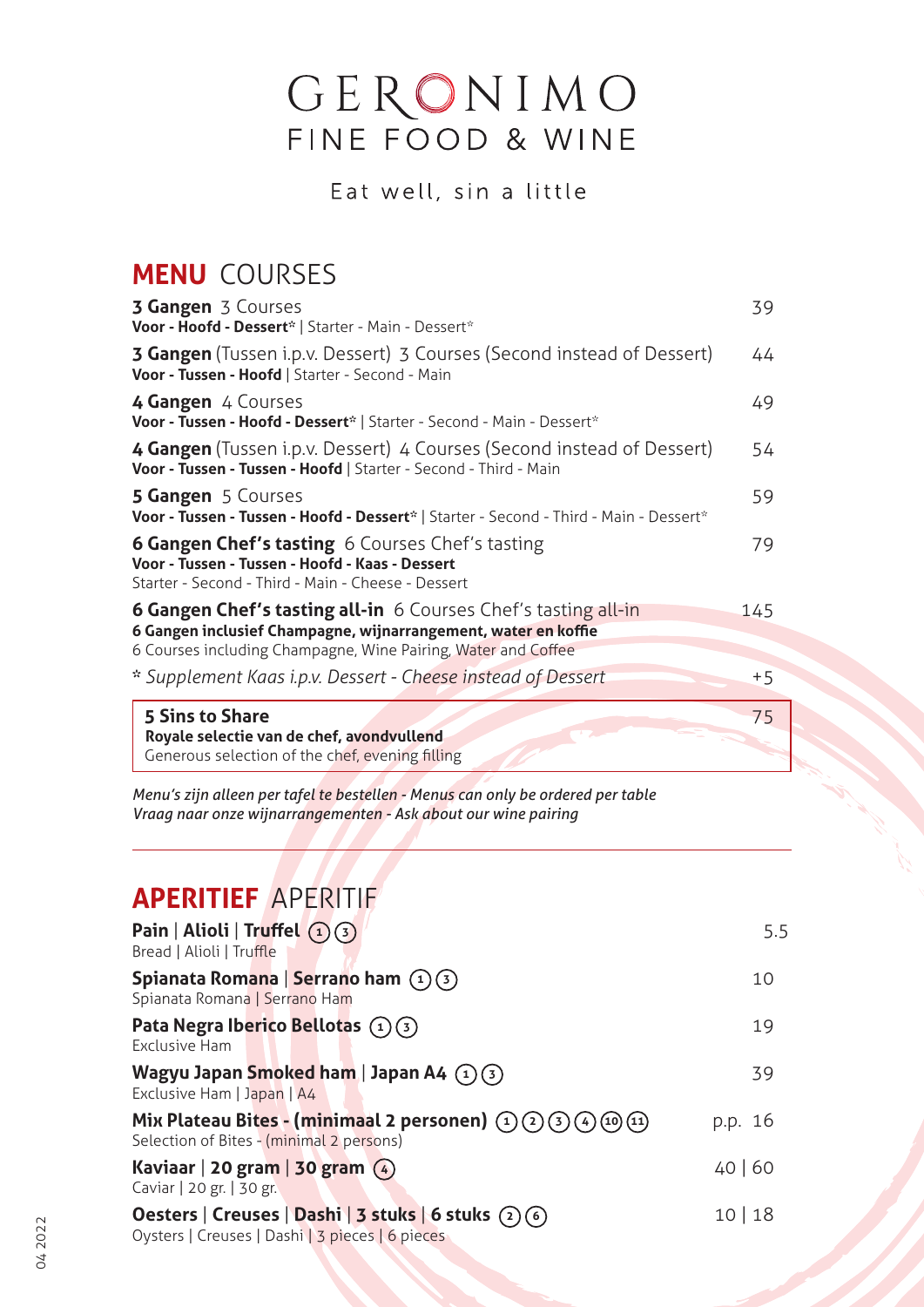# GERONIMO<br>FINE FOOD & WINE

Eat well, sin a little

# **MENU** COURSES

| <b>3 Gangen</b> 3 Courses<br>Voor - Hoofd - Dessert*   Starter - Main - Dessert*                                                                                                                         | 39   |
|----------------------------------------------------------------------------------------------------------------------------------------------------------------------------------------------------------|------|
| <b>3 Gangen</b> (Tussen i.p.v. Dessert) 3 Courses (Second instead of Dessert)<br>Voor - Tussen - Hoofd   Starter - Second - Main                                                                         | 44   |
| 4 Gangen 4 Courses<br>Voor - Tussen - Hoofd - Dessert*   Starter - Second - Main - Dessert*                                                                                                              | 49   |
| 4 Gangen (Tussen i.p.v. Dessert) 4 Courses (Second instead of Dessert)<br>Voor - Tussen - Tussen - Hoofd   Starter - Second - Third - Main                                                               | 54   |
| <b>5 Gangen</b> 5 Courses<br>Voor - Tussen - Tussen - Hoofd - Dessert*   Starter - Second - Third - Main - Dessert*                                                                                      | 59   |
| <b>6 Gangen Chef's tasting</b> 6 Courses Chef's tasting<br>Voor - Tussen - Tussen - Hoofd - Kaas - Dessert<br>Starter - Second - Third - Main - Cheese - Dessert                                         | 79   |
| <b>6 Gangen Chef's tasting all-in</b> 6 Courses Chef's tasting all-in<br>6 Gangen inclusief Champagne, wijnarrangement, water en koffie<br>6 Courses including Champagne, Wine Pairing, Water and Coffee | 145  |
| * Supplement Kaas i.p.v. Dessert - Cheese instead of Dessert                                                                                                                                             | $+5$ |
| 5 Sins to Share<br>Royale selectie van de chef, avondvullend<br>Generous selection of the chef, evening filling                                                                                          | 75   |

*Menu's zijn alleen per tafel te bestellen - Menus can only be ordered per table Vraag naar onze wijnarrangementen - Ask about our wine pairing*

# **ApERiTiEf** APERITIF

| Pain   Alioli   Truffel $(1)(3)$<br>Bread   Alioli   Truffle                                                 | 5.5     |
|--------------------------------------------------------------------------------------------------------------|---------|
| Spianata Romana   Serrano ham $(1)(3)$<br>Spianata Romana   Serrano Ham                                      | 10      |
| Pata Negra Iberico Bellotas $(1)(3)$<br><b>Exclusive Ham</b>                                                 | 19      |
| Wagyu Japan Smoked ham   Japan A4 $(1)(3)$<br>Exclusive Ham   Japan   A4                                     | 39      |
| Mix Plateau Bites - (minimaal 2 personen) $(1)(2)(3)(4)(10)(11)$<br>Selection of Bites - (minimal 2 persons) | p.p. 16 |
| Kaviaar   20 gram   30 gram $(4)$<br>Caviar   20 gr.   30 gr.                                                | 40 60   |
| Oesters   Creuses   Dashi   3 stuks   6 stuks $(2)(6)$<br>Oysters   Creuses   Dashi   3 pieces   6 pieces    | 10 18   |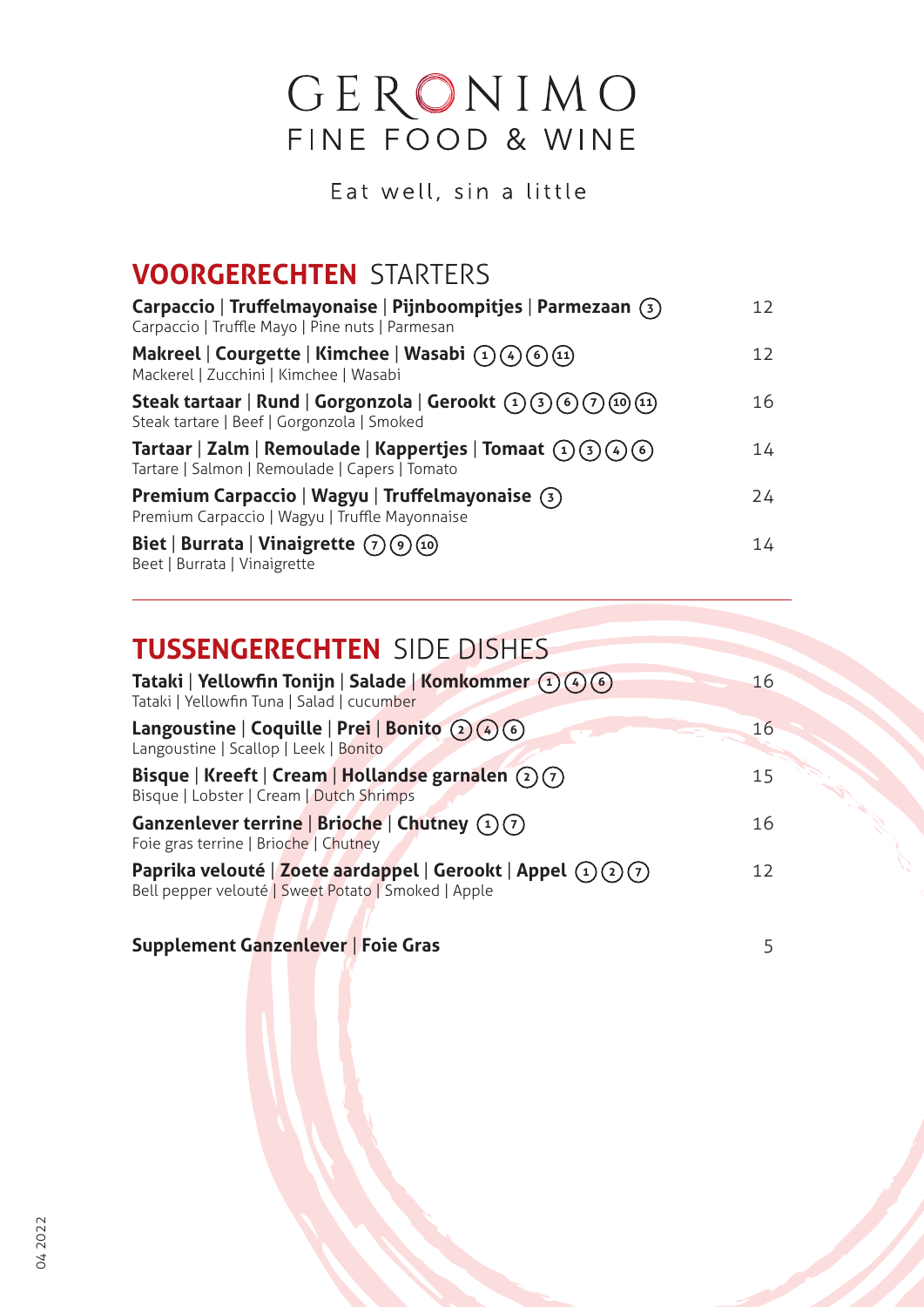# GERONIMO<br>FINE FOOD & WINE

Eat well, sin a little

# **VOORGERECHTEN** STARTERS

| Carpaccio   Truffelmayonaise   Pijnboompitjes   Parmezaan $(3)$<br>Carpaccio   Truffle Mayo   Pine nuts   Parmesan | 12              |
|--------------------------------------------------------------------------------------------------------------------|-----------------|
| Makreel   Courgette   Kimchee   Wasabi $(1)(4)(6)(1)$<br>Mackerel   Zucchini   Kimchee   Wasabi                    | 12 <sup>2</sup> |
| Steak tartaar   Rund   Gorgonzola   Gerookt $(1)(3)(6)(7)(10)(11)$<br>Steak tartare   Beef   Gorgonzola   Smoked   | 16              |
| Tartaar   Zalm   Remoulade   Kappertjes   Tomaat $(1)(3)(4)(6)$<br>Tartare   Salmon   Remoulade   Capers   Tomato  | 14              |
| Premium Carpaccio   Wagyu   Truffelmayonaise $(3)$<br>Premium Carpaccio   Wagyu   Truffle Mayonnaise               | 24              |
| Biet   Burrata   Vinaigrette $(7)(9)(10)$<br>Beet   Burrata   Vinaigrette                                          | 14              |

### **TUSSENGERECHTEN** SIDE DISHES

| Tataki   Yellowfin Tonijn   Salade   Komkommer $(1)(4)(6)$<br>Tataki   Yellowfin Tuna   Salad   cucumber                    | 16              |
|-----------------------------------------------------------------------------------------------------------------------------|-----------------|
| Langoustine   Coquille   Prei   Bonito $(2)(4)(6)$<br>Langoustine   Scallop   Leek   Bonito                                 | 16 <sup>1</sup> |
| Bisque   Kreeft   Cream   Hollandse garnalen $(2)(7)$<br>Bisque   Lobster   Cream   Dutch Shrimps                           | 15 <sub>1</sub> |
| Ganzenlever terrine   Brioche   Chutney $(1)(7)$<br>Foie gras terrine   Brioche   Chutney                                   | 16              |
| Paprika velouté   Zoete aardappel   Gerookt   Appel $\Omega(\Omega)$<br>Bell pepper velouté   Sweet Potato   Smoked   Apple | 12 <sub>1</sub> |

#### **Supplement Ganzenlever** | **foie Gras** 5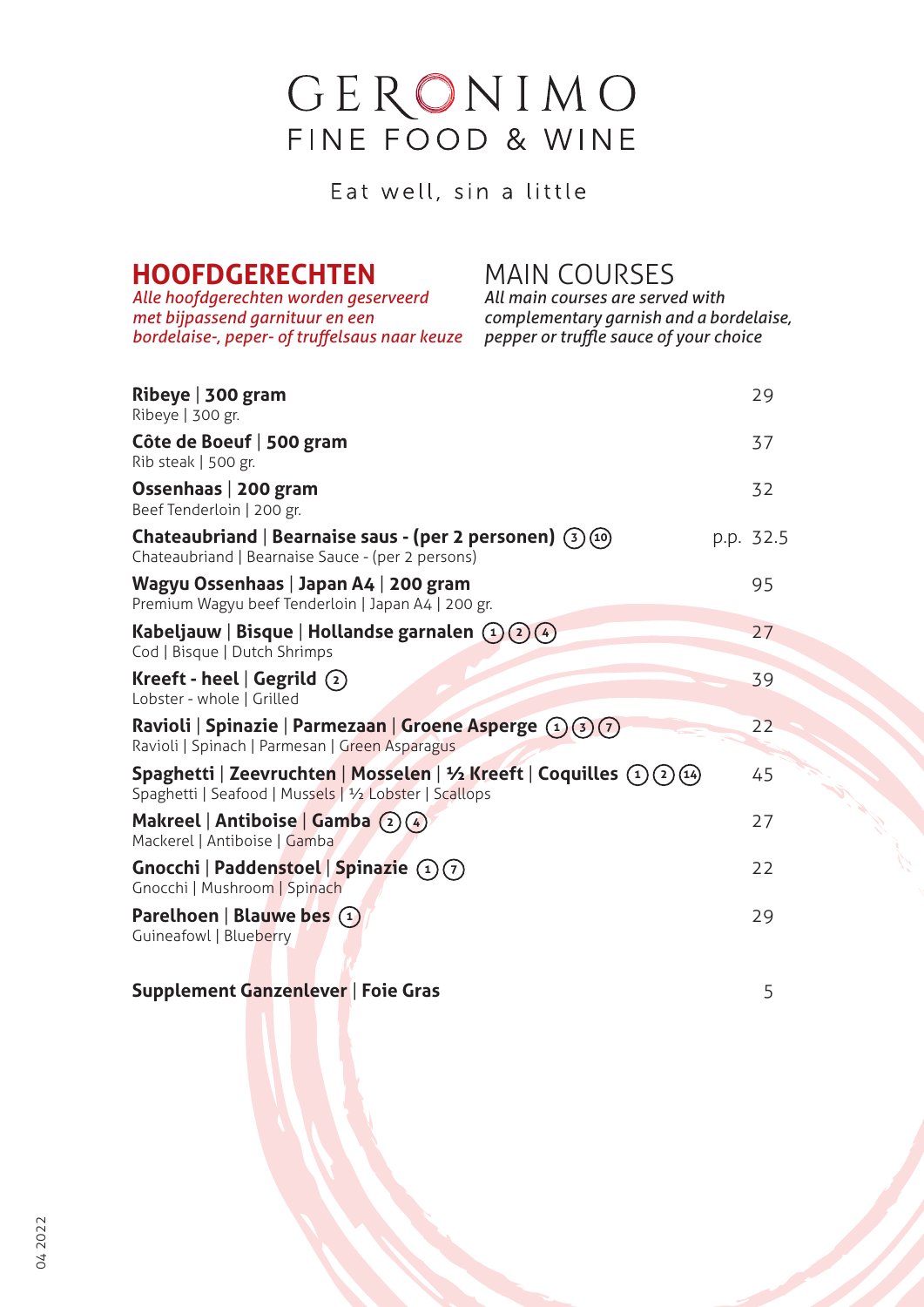# GERONIMO FINE FOOD & WINE

Eat well, sin a little

# **HOOFDGERECHTEN** MAIN COURSES<br>Alle hoofdgerechten worden geserveerd all main courses are served with

*Alle hoofdgerechten worden geserveerd met bijpassend garnituur en een bordelaise-, peper- of truffelsaus naar keuze pepper or truffle sauce of your choice*

*met bijpassend garnituur en een complementary garnish and a bordelaise,*

| Ribeye   300 gram<br>Ribeye   300 gr.                                                                                          | 29        |
|--------------------------------------------------------------------------------------------------------------------------------|-----------|
| Côte de Boeuf   500 gram<br>Rib steak   500 gr.                                                                                | 37        |
| Ossenhaas   200 gram<br>Beef Tenderloin   200 gr.                                                                              | 32        |
| Chateaubriand   Bearnaise saus - (per 2 personen) $(3)(10)$<br>Chateaubriand   Bearnaise Sauce - (per 2 persons)               | p.p. 32.5 |
| Wagyu Ossenhaas   Japan A4   200 gram<br>Premium Wagyu beef Tenderloin   Japan A4   200 gr.                                    | 95        |
| Kabeljauw   Bisque   Hollandse garnalen $(1)(2)(4)$<br>Cod   Bisque   Dutch Shrimps                                            | 27        |
| Kreeft - heel $\vert$ Gegrild $\vert$ $\vert$<br>Lobster - whole   Grilled                                                     | 39        |
| Ravioli   Spinazie   Parmezaan   Groene Asperge (1)(3)(7)<br>Ravioli   Spinach   Parmesan   Green Asparagus                    | 22        |
| Spaghetti   Zeevruchten   Mosselen   ½ Kreeft   Coquilles (1)(2)(14)<br>Spaghetti   Seafood   Mussels   1/2 Lobster   Scallops | 45        |
| Makreel   Antiboise   Gamba (2)(4)<br>Mackerel   Antiboise   Gamba                                                             | 27        |
| Gnocchi   Paddenstoel   Spinazie $(1)(7)$<br>Gnocchi   Mushroom   Spinach                                                      | 22        |
| Parelhoen   Blauwe bes $(1)$<br>Guineafowl   Blueberry                                                                         | 29        |

#### **Supplement Ganzenlever** | **foie Gras** 5